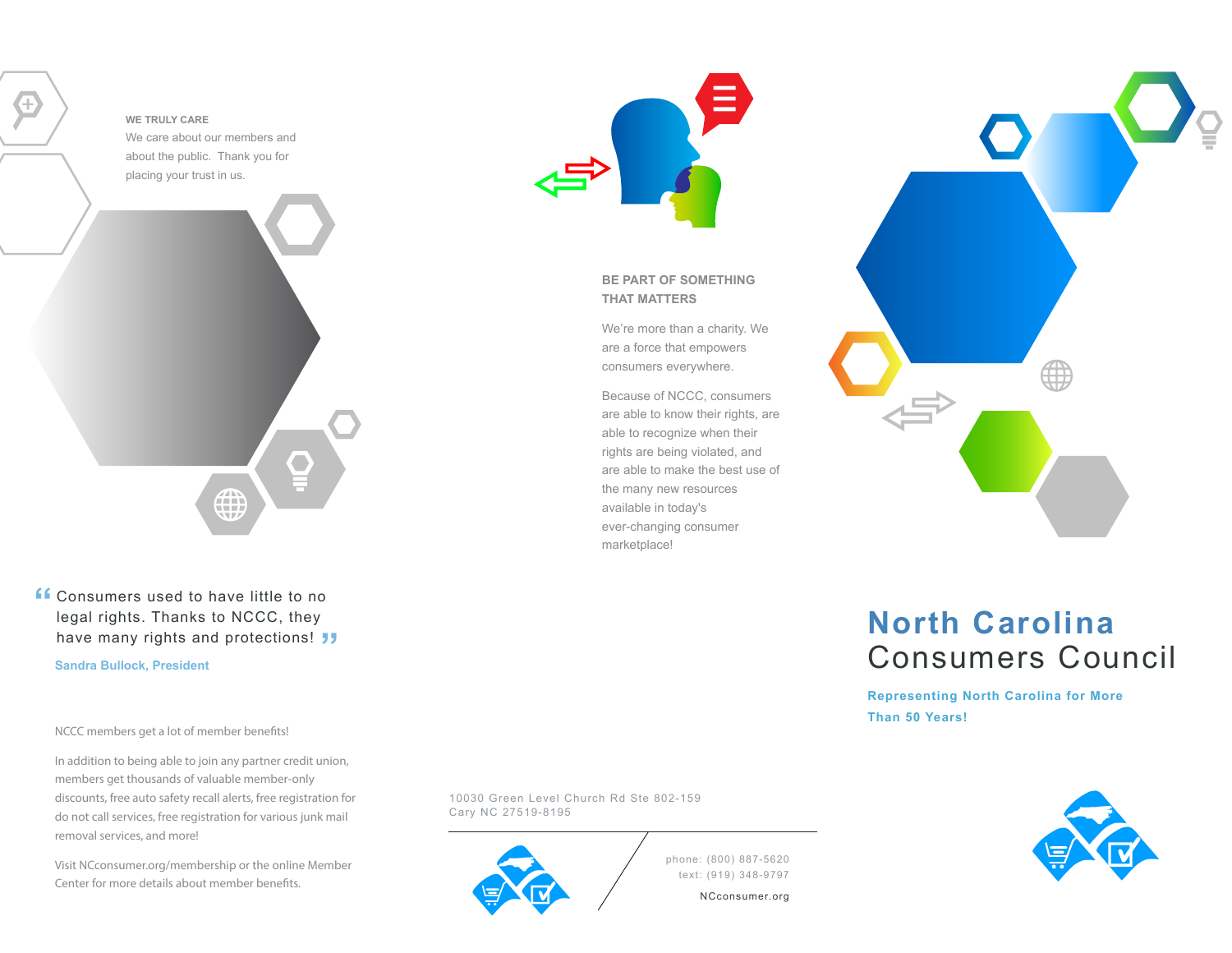#### **WE TRULY CARE**

We care about our members and about the public. Thank you for placing your trust in us.



Consumers used to have little to no **"**legal rights. Thanks to NCCC, they have many rights and protections! **"**

**Sandra Bullock, President**

NCCC members get a lot of member benefits!

In addition to being able to join any partner credit union, members get thousands of valuable member-only discounts, free auto safety recall alerts, free registration for do not call services, free registration for various junk mail removal services, and more!

Visit NCconsumer.org/membership or the online Member Center for more details about member benefits.



**BE PART OF SOMETHING THAT MATTERS**

We're more than a charity. We are a force that empowers consumers everywhere.

Because of NCCC, consumers are able to know their rights, are able to recognize when their rights are being violated, and are able to make the best use of the many new resources available in today's ever-changing consumer marketplace!



# **North Carolina**Consumers Council

**Representing North Carolina for More Than 50 Years!**



10030 Green Level Church Rd Ste 802-159Cary NC 27519-8195



phone: (800) 887-5620 text: (919) 348-9797

NCconsumer.org